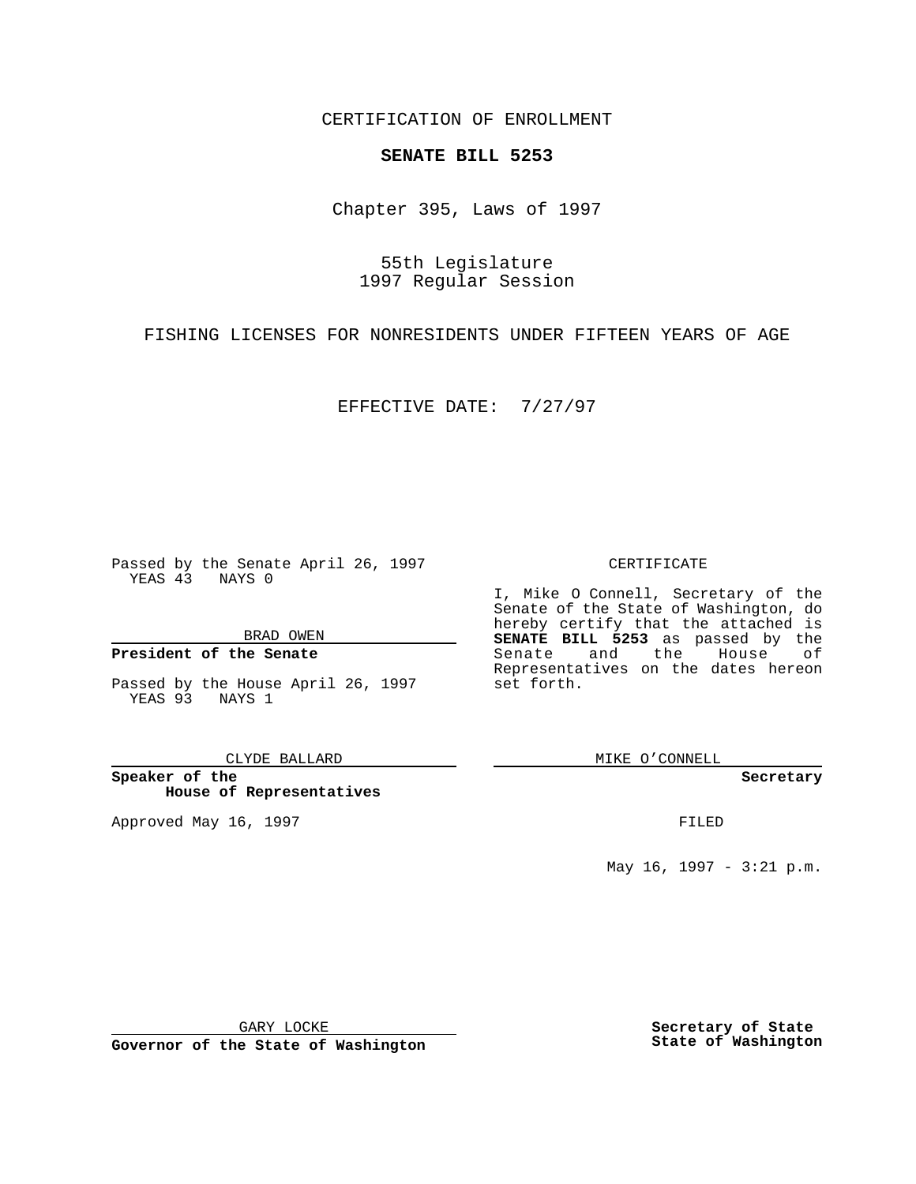CERTIFICATION OF ENROLLMENT

# **SENATE BILL 5253**

Chapter 395, Laws of 1997

55th Legislature 1997 Regular Session

FISHING LICENSES FOR NONRESIDENTS UNDER FIFTEEN YEARS OF AGE

EFFECTIVE DATE: 7/27/97

Passed by the Senate April 26, 1997 YEAS 43 NAYS 0

BRAD OWEN

### **President of the Senate**

Passed by the House April 26, 1997 YEAS 93 NAYS 1

CLYDE BALLARD

**Speaker of the House of Representatives**

Approved May 16, 1997 **FILED** 

### CERTIFICATE

I, Mike O Connell, Secretary of the Senate of the State of Washington, do hereby certify that the attached is **SENATE BILL 5253** as passed by the Senate and the House of Representatives on the dates hereon set forth.

MIKE O'CONNELL

#### **Secretary**

May 16, 1997 - 3:21 p.m.

GARY LOCKE

**Governor of the State of Washington**

**Secretary of State State of Washington**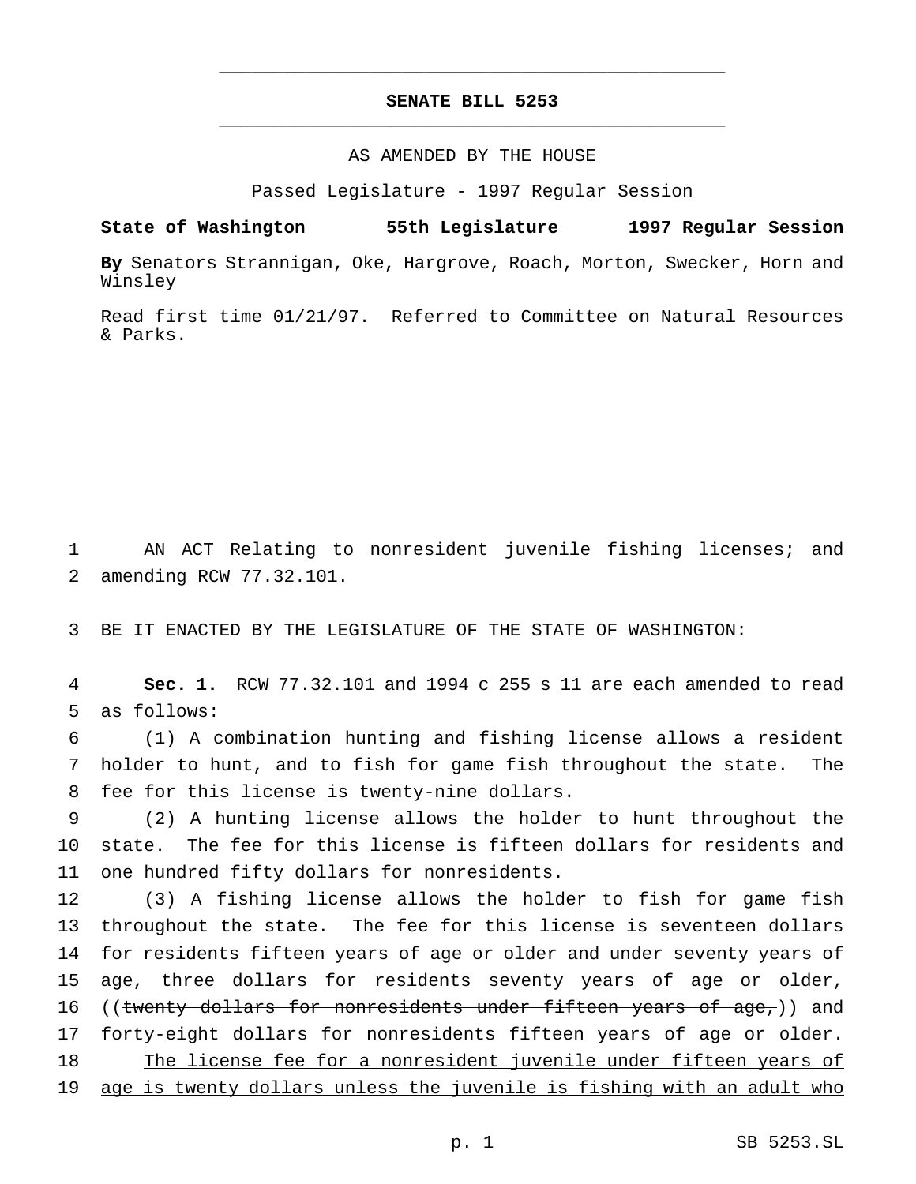# **SENATE BILL 5253** \_\_\_\_\_\_\_\_\_\_\_\_\_\_\_\_\_\_\_\_\_\_\_\_\_\_\_\_\_\_\_\_\_\_\_\_\_\_\_\_\_\_\_\_\_\_\_

\_\_\_\_\_\_\_\_\_\_\_\_\_\_\_\_\_\_\_\_\_\_\_\_\_\_\_\_\_\_\_\_\_\_\_\_\_\_\_\_\_\_\_\_\_\_\_

## AS AMENDED BY THE HOUSE

Passed Legislature - 1997 Regular Session

**State of Washington 55th Legislature 1997 Regular Session**

**By** Senators Strannigan, Oke, Hargrove, Roach, Morton, Swecker, Horn and Winsley

Read first time 01/21/97. Referred to Committee on Natural Resources & Parks.

1 AN ACT Relating to nonresident juvenile fishing licenses; and 2 amending RCW 77.32.101.

3 BE IT ENACTED BY THE LEGISLATURE OF THE STATE OF WASHINGTON:

4 **Sec. 1.** RCW 77.32.101 and 1994 c 255 s 11 are each amended to read 5 as follows:

6 (1) A combination hunting and fishing license allows a resident 7 holder to hunt, and to fish for game fish throughout the state. The 8 fee for this license is twenty-nine dollars.

9 (2) A hunting license allows the holder to hunt throughout the 10 state. The fee for this license is fifteen dollars for residents and 11 one hundred fifty dollars for nonresidents.

 (3) A fishing license allows the holder to fish for game fish throughout the state. The fee for this license is seventeen dollars for residents fifteen years of age or older and under seventy years of age, three dollars for residents seventy years of age or older, 16 ((twenty dollars for nonresidents under fifteen years of  $age_7$ )) and forty-eight dollars for nonresidents fifteen years of age or older. 18 The license fee for a nonresident juvenile under fifteen years of age is twenty dollars unless the juvenile is fishing with an adult who